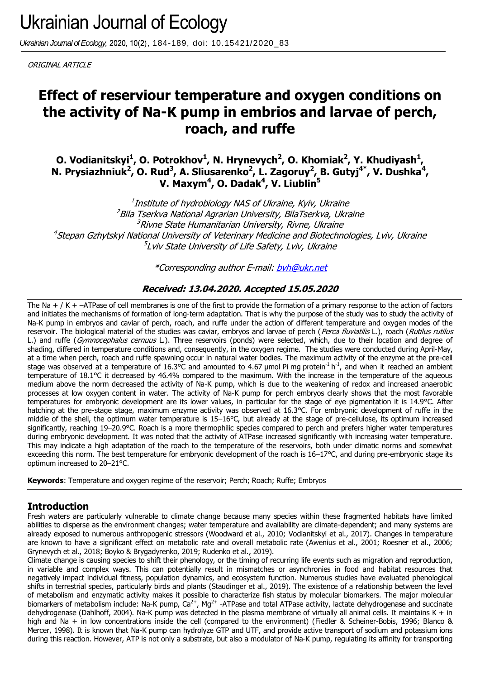Ukrainian Journal of Ecology, 2020, 10(2), 184-189, doi: 10.15421/2020\_83

ORIGINAL ARTICLE

# **Effect of reserviour temperature and oxygen conditions on the activity of Na-K pump in embrios and larvae of perch, roach, and ruffe**

**O. Vodianitskyi<sup>1</sup> , О. Potrokhov<sup>1</sup> , N. Hrynevych<sup>2</sup> , O. Khomiak<sup>2</sup> , Y. Khudiyash<sup>1</sup> , N. Prysiazhniuk<sup>2</sup>, O. Rud<sup>3</sup>, A. Sliusarenko<sup>2</sup>, L. Zagoruy<sup>2</sup>, B. Gutyj<sup>4\*</sup>, V. Dushka<sup>4</sup>, V. Maxym<sup>4</sup> , O. Dadak<sup>4</sup> , V. Liublin<sup>5</sup>**

 $^{\rm 1}$ Institute of hydrobiology NAS of Ukraine, Kyiv, Ukraine <sup>2</sup>Bila Tserkva National Agrarian University, BilaTserkva, Ukraine <sup>3</sup>Rivne State Humanitarian University, Rivne, Ukraine <sup>4</sup>Stepan Gzhytskyi National University of Veterinary Medicine and Biotechnologies, Lviv, Ukraine 5 Lviv State University of Life Safety, Lviv, Ukraine

\*Corresponding author E-mail[: bvh@ukr.net](mailto:bvh@ukr.net)

# **Received: 13.04.2020. Accepted 15.05.2020**

The Na  $+$  / K  $+$  –ATPase of cell membranes is one of the first to provide the formation of a primary response to the action of factors and initiates the mechanisms of formation of long-term adaptation. That is why the purpose of the study was to study the activity of Na-K pump in embryos and caviar of perch, roach, and ruffe under the action of different temperature and oxygen modes of the reservoir. The biological material of the studies was caviar, embryos and larvae of perch (Perca fluviatilis L.), roach (Rutilus rutilus L.) and ruffe (Gymnocephalus cernuus L.). Three reservoirs (ponds) were selected, which, due to their location and degree of shading, differed in temperature conditions and, consequently, in the oxygen regime. The studies were conducted during April-May, at a time when perch, roach and ruffe spawning occur in natural water bodies. The maximum activity of the enzyme at the pre-cell stage was observed at a temperature of 16.3°C and amounted to 4.67 µmol Pi mg protein<sup>-1</sup> h<sup>-1</sup>, and when it reached an ambient temperature of 18.1°C it decreased by 46.4% compared to the maximum. With the increase in the temperature of the aqueous medium above the norm decreased the activity of Na-K pump, which is due to the weakening of redox and increased anaerobic processes at low oxygen content in water. The activity of Na-K pump for perch embryos clearly shows that the most favorable temperatures for embryonic development are its lower values, in particular for the stage of eye pigmentation it is 14.9°C. After hatching at the pre-stage stage, maximum enzyme activity was observed at 16.3°C. For embryonic development of ruffe in the middle of the shell, the optimum water temperature is 15–16°C, but already at the stage of pre-cellulose, its optimum increased significantly, reaching 19–20.9°C. Roach is a more thermophilic species compared to perch and prefers higher water temperatures during embryonic development. It was noted that the activity of ATPase increased significantly with increasing water temperature. This may indicate a high adaptation of the roach to the temperature of the reservoirs, both under climatic norms and somewhat exceeding this norm. The best temperature for embryonic development of the roach is 16–17°C, and during pre-embryonic stage its optimum increased to 20–21°C.

**Keywords**: Temperature and oxygen regime of the reservoir; Perch; Roach; Ruffe; Embryos

# **Introduction**

Fresh waters are particularly vulnerable to climate change because many species within these fragmented habitats have limited abilities to disperse as the environment changes; water temperature and availability are climate-dependent; and many systems are already exposed to numerous anthropogenic stressors (Woodward et al., 2010; Vodianitskyi et al., 2017). Changes in temperature are known to have a significant effect on metabolic rate and overall metabolic rate (Awenius et al., 2001; Roesner et al., 2006; Grynevych et al., 2018; Boyko & Brygadyrenko, 2019; Rudenko et al., 2019).

Climate change is causing species to shift their phenology, or the timing of recurring life events such as migration and reproduction, in variable and complex ways. This can potentially result in mismatches or asynchronies in food and habitat resources that negatively impact individual fitness, population dynamics, and ecosystem function. Numerous studies have evaluated phenological shifts in terrestrial species, particularly birds and plants (Staudinger et al., 2019). The existence of a relationship between the level of metabolism and enzymatic activity makes it possible to characterize fish status by molecular biomarkers. The major molecular biomarkers of metabolism include: Na-K pump,  $Ca^{2+}$ , Mg<sup>2+</sup> -ATPase and total ATPase activity, lactate dehydrogenase and succinate dehydrogenase (Dahlhoff, 2004). Na-K pump was detected in the plasma membrane of virtually all animal cells. It maintains K + in high and Na + in low concentrations inside the cell (compared to the environment) (Fiedler & Scheiner-Bobis, 1996; Blanco & Mercer, 1998). It is known that Na-K pump can hydrolyze GTP and UTF, and provide active transport of sodium and potassium ions during this reaction. However, ATP is not only a substrate, but also a modulator of Na-K pump, regulating its affinity for transporting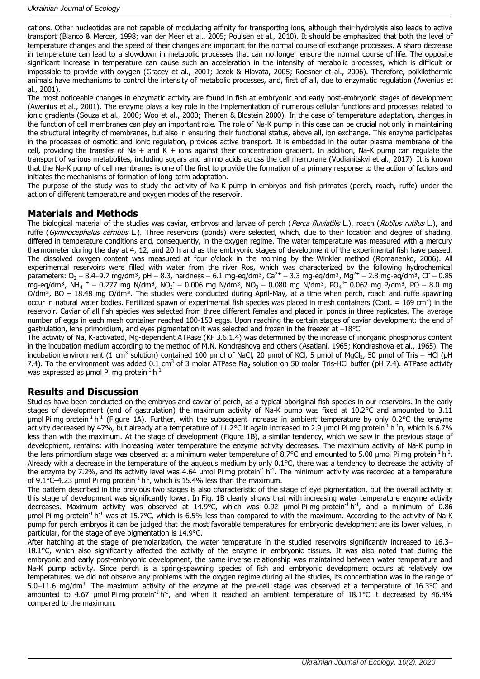cations. Other nucleotides are not capable of modulating affinity for transporting ions, although their hydrolysis also leads to active transport (Blanco & Mercer, 1998; van der Meer et al., 2005; Poulsen et al., 2010). It should be emphasized that both the level of temperature changes and the speed of their changes are important for the normal course of exchange processes. A sharp decrease in temperature can lead to a slowdown in metabolic processes that can no longer ensure the normal course of life. The opposite significant increase in temperature can cause such an acceleration in the intensity of metabolic processes, which is difficult or impossible to provide with oxygen (Gracey et al., 2001; Jezek & Hlavata, 2005; Roesner et al., 2006). Therefore, poikilothermic animals have mechanisms to control the intensity of metabolic processes, and, first of all, due to enzymatic regulation (Awenius et al., 2001).

The most noticeable changes in enzymatic activity are found in fish at embryonic and early post-embryonic stages of development (Awenius et al., 2001). The enzyme plays a key role in the implementation of numerous cellular functions and processes related to ionic gradients (Souza et al., 2000; Woo et al., 2000; Therien & Blostein 2000). In the case of temperature adaptation, changes in the function of cell membranes can play an important role. The role of Na-K pump in this case can be crucial not only in maintaining the structural integrity of membranes, but also in ensuring their functional status, above all, ion exchange. This enzyme participates in the processes of osmotic and ionic regulation, provides active transport. It is embedded in the outer plasma membrane of the cell, providing the transfer of Na  $+$  and K  $+$  ions against their concentration gradient. In addition, Na-K pump can regulate the transport of various metabolites, including sugars and amino acids across the cell membrane (Vodianitskyi et al., 2017). It is known that the Na-K pump of cell membranes is one of the first to provide the formation of a primary response to the action of factors and initiates the mechanisms of formation of long-term adaptation.

The purpose of the study was to study the activity of Na-K pump in embryos and fish primates (perch, roach, ruffe) under the action of different temperature and oxygen modes of the reservoir.

### **Materials and Methods**

The biological material of the studies was caviar, embryos and larvae of perch (Perca fluviatilis L.), roach (Rutilus rutilus L.), and ruffe (Gymnocephalus cernuus L.). Three reservoirs (ponds) were selected, which, due to their location and degree of shading, differed in temperature conditions and, consequently, in the oxygen regime. The water temperature was measured with a mercury thermometer during the day at 4, 12, and 20 h and as the embryonic stages of development of the experimental fish have passed. The dissolved oxygen content was measured at four o'clock in the morning by the Winkler method (Romanenko, 2006). All experimental reservoirs were filled with water from the river Ros, which was characterized by the following hydrochemical parameters: O<sub>2</sub> – 8.4–9.7 mg/dm<sup>3</sup>, pH – 8.3, hardness – 6.1 mg-eq/dm<sup>3</sup>, Ca<sup>2+</sup> – 3.3 mg-eq/dm<sup>3</sup>, Mg<sup>2+</sup> – 2.8 mg-eq/dm<sup>3</sup>, Cl<sup>-</sup> – 0.85 mg-eq/dm3, NH<sub>4</sub> <sup>+</sup> – 0.277 mg N/dm<sup>3</sup>, NO<sub>2</sub> – 0.006 mg N/dm<sup>3</sup>, NO<sub>3</sub> – 0.080 mg N/dm<sup>3</sup>, PO<sub>4</sub><sup>3–</sup> 0.062 mg P/dm<sup>3</sup>, PO – 8.0 mg  $O/dm<sup>3</sup>$ , BO – 18.48 mg  $O/dm<sup>3</sup>$ . The studies were conducted during April-May, at a time when perch, roach and ruffe spawning occur in natural water bodies. Fertilized spawn of experimental fish species was placed in mesh containers (Cont. = 169 cm<sup>2</sup>) in the reservoir. Caviar of all fish species was selected from three different females and placed in ponds in three replicates. The average number of eggs in each mesh container reached 100-150 eggs. Upon reaching the certain stages of caviar development: the end of gastrulation, lens primordium, and eyes pigmentation it was selected and frozen in the freezer at –18°С.

The activity of Na, K-activated, Mg-dependent ATPase (KF 3.6.1.4) was determined by the increase of inorganic phosphorus content in the incubation medium according to the method of M.N. Kondrashova and others (Asatiani, 1965; Kondrashova et al., 1965). The incubation environment (1 cm<sup>3</sup> solution) contained 100 μmol of NaCl, 20 μmol of KCl, 5 μmol of MgCl<sub>2</sub>, 50 μmol of Tris – HCl (pH 7.4). To the environment was added 0.1 cm<sup>3</sup> of 3 molar ATPase Na<sub>2</sub> solution on 50 molar Tris-HCl buffer (pH 7.4). ATPase activity was expressed as µmol Pi mg protein<sup>-1</sup> h<sup>-1</sup>

### **Results and Discussion**

Studies have been conducted on the embryos and caviar of perch, as a typical aboriginal fish species in our reservoirs. In the early stages of development (end of gastrulation) the maximum activity of Na-K pump was fixed at 10.2°C and amounted to 3.11 µmol Pi mg protein<sup>-1</sup> h<sup>-1</sup> (Figure 1A). Further, with the subsequent increase in ambient temperature by only 0.2°C the enzyme activity decreased by 47%, but already at a temperature of 11.2°C it again increased to 2.9 µmol Pi mg protein<sup>-1</sup> h<sup>-1</sup>n, which is 6.7% less than with the maximum. At the stage of development (Figure 1B), a similar tendency, which we saw in the previous stage of development, remains: with increasing water temperature the enzyme activity decreases. The maximum activity of Na-K pump in the lens primordium stage was observed at a minimum water temperature of 8.7°C and amounted to 5.00 µmol Pi mg protein<sup>-1</sup> h<sup>-1</sup>. Already with a decrease in the temperature of the aqueous medium by only 0.1°C, there was a tendency to decrease the activity of the enzyme by 7.2%, and its activity level was 4.64 µmol Pi mg protein<sup>-1</sup> h<sup>-1</sup>. The minimum activity was recorded at a temperature of 9.1°C-4.23 µmol Pi mg protein<sup>-1</sup> h<sup>-1</sup>, which is 15.4% less than the maximum.

The pattern described in the previous two stages is also characteristic of the stage of eye pigmentation, but the overall activity at this stage of development was significantly lower. In Fig. 1B clearly shows that with increasing water temperature enzyme activity decreases. Maximum activity was observed at 14.9 $^{\circ}$ C, which was 0.92 µmol Pi mg protein<sup>-1</sup> h<sup>-1</sup>, and a minimum of 0.86 µmol Pi mg protein<sup>-1</sup> h<sup>-1</sup> was at 15.7°C, which is 6.5% less than compared to with the maximum. According to the activity of Na-K pump for perch embryos it can be judged that the most favorable temperatures for embryonic development are its lower values, in particular, for the stage of eye pigmentation is 14.9°C.

After hatching at the stage of premolarization, the water temperature in the studied reservoirs significantly increased to 16.3– 18.1°C, which also significantly affected the activity of the enzyme in embryonic tissues. It was also noted that during the embryonic and early post-embryonic development, the same inverse relationship was maintained between water temperature and Na-K pump activity. Since perch is a spring-spawning species of fish and embryonic development occurs at relatively low temperatures, we did not observe any problems with the oxygen regime during all the studies, its concentration was in the range of 5.0–11.6 mg/dm<sup>3</sup>. The maximum activity of the enzyme at the pre-cell stage was observed at a temperature of 16.3°C and amounted to 4.67 µmol Pi mg protein<sup>-1</sup> h<sup>-1</sup>, and when it reached an ambient temperature of 18.1°C it decreased by 46.4% compared to the maximum.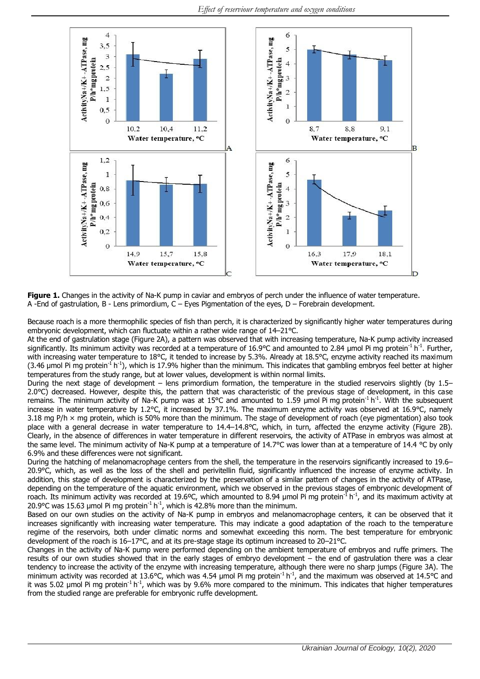

**Figure 1.** Changes in the activity of Na-K pump in caviar and embryos of perch under the influence of water temperature. A -End of gastrulation, B - Lens primordium, C – Eyes Pigmentation of the eyes, D – Forebrain development.

Because roach is a more thermophilic species of fish than perch, it is characterized by significantly higher water temperatures during embryonic development, which can fluctuate within a rather wide range of 14–21°C.

At the end of gastrulation stage (Figure 2A), a pattern was observed that with increasing temperature, Na-K pump activity increased significantly. Its minimum activity was recorded at a temperature of 16.9°C and amounted to 2.84 µmol Pi mg protein<sup>-1</sup> h<sup>-1</sup>. Further, with increasing water temperature to 18°C, it tended to increase by 5.3%. Already at 18.5°C, enzyme activity reached its maximum (3.46 µmol Pi mg protein<sup>-1</sup> h<sup>-1</sup>), which is 17.9% higher than the minimum. This indicates that gambling embryos feel better at higher temperatures from the study range, but at lower values, development is within normal limits.

During the next stage of development – lens primordium formation, the temperature in the studied reservoirs slightly (by 1.5– 2.0°C) decreased. However, despite this, the pattern that was characteristic of the previous stage of development, in this case remains. The minimum activity of Na-K pump was at 15°C and amounted to 1.59 µmol Pi mg protein<sup>-1</sup> h<sup>-1</sup>. With the subsequent increase in water temperature by 1.2°C, it increased by 37.1%. The maximum enzyme activity was observed at 16.9°C, namely 3.18 mg P/h  $\times$  mg protein, which is 50% more than the minimum. The stage of development of roach (eye pigmentation) also took place with a general decrease in water temperature to 14.4–14.8°C, which, in turn, affected the enzyme activity (Figure 2B). Clearly, in the absence of differences in water temperature in different reservoirs, the activity of ATPase in embryos was almost at the same level. The minimum activity of Na-K pump at a temperature of 14.7°C was lower than at a temperature of 14.4 °C by only 6.9% and these differences were not significant.

During the hatching of melanomacrophage centers from the shell, the temperature in the reservoirs significantly increased to 19.6– 20.9°C, which, as well as the loss of the shell and perivitellin fluid, significantly influenced the increase of enzyme activity. In addition, this stage of development is characterized by the preservation of a similar pattern of changes in the activity of ATPase, depending on the temperature of the aquatic environment, which we observed in the previous stages of embryonic development of roach. Its minimum activity was recorded at 19.6°C, which amounted to 8.94 µmol Pi mg protein $^1$ h $^1$ , and its maximum activity at 20.9°C was 15.63 µmol Pi mg protein<sup>-1</sup> h<sup>-1</sup>, which is 42.8% more than the minimum.

Based on our own studies on the activity of Na-K pump in embryos and melanomacrophage centers, it can be observed that it increases significantly with increasing water temperature. This may indicate a good adaptation of the roach to the temperature regime of the reservoirs, both under climatic norms and somewhat exceeding this norm. The best temperature for embryonic development of the roach is 16–17°C, and at its pre-stage stage its optimum increased to 20–21°C.

Changes in the activity of Na-K pump were performed depending on the ambient temperature of embryos and ruffe primers. The results of our own studies showed that in the early stages of embryo development – the end of gastrulation there was a clear tendency to increase the activity of the enzyme with increasing temperature, although there were no sharp jumps (Figure 3A). The minimum activity was recorded at 13.6°C, which was 4.54 µmol Pi mg protein<sup>-1</sup> h<sup>-1</sup>, and the maximum was observed at 14.5°C and it was 5.02 µmol Pi mg protein<sup>-1</sup> h<sup>-1</sup>, which was by 9.6% more compared to the minimum. This indicates that higher temperatures from the studied range are preferable for embryonic ruffe development.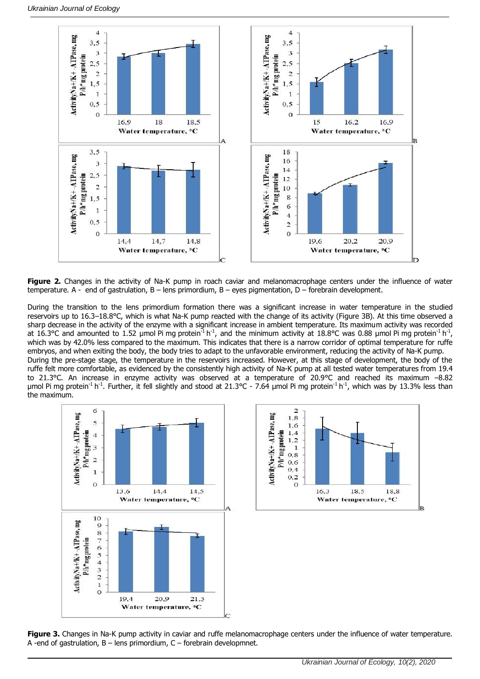

**Figure 2.** Changes in the activity of Na-K pump in roach caviar and melanomacrophage centers under the influence of water temperature. A - end of gastrulation, B – lens primordium, B – eyes pigmentation, D – forebrain development.

During the transition to the lens primordium formation there was a significant increase in water temperature in the studied reservoirs up to 16.3–18.8°С, which is what Na-K pump reacted with the change of its activity (Figure 3B). At this time observed a sharp decrease in the activity of the enzyme with a significant increase in ambient temperature. Its maximum activity was recorded at 16.3°C and amounted to 1.52 µmol Pi mg protein<sup>-1</sup> h<sup>-1</sup>, and the minimum activity at 18.8°C was 0.88 µmol Pi mg protein<sup>-1</sup> h<sup>-1</sup>, which was by 42.0% less compared to the maximum. This indicates that there is a narrow corridor of optimal temperature for ruffe embryos, and when exiting the body, the body tries to adapt to the unfavorable environment, reducing the activity of Na-K pump. During the pre-stage stage, the temperature in the reservoirs increased. However, at this stage of development, the body of the ruffe felt more comfortable, as evidenced by the consistently high activity of Na-K pump at all tested water temperatures from 19.4 to 21.3°C. An increase in enzyme activity was observed at a temperature of 20.9°С and reached its maximum –8.82 μmol Pi mg protein<sup>-1</sup> h<sup>-1</sup>. Further, it fell slightly and stood at 21.3°C - 7.64 μmol Pi mg protein<sup>-1</sup> h<sup>-1</sup>, which was by 13.3% less than the maximum.





**Figure 3.** Changes in Na-K pump activity in caviar and ruffe melanomacrophage centers under the influence of water temperature. A -end of gastrulation,  $B -$  lens primordium,  $C -$  forebrain developmnet.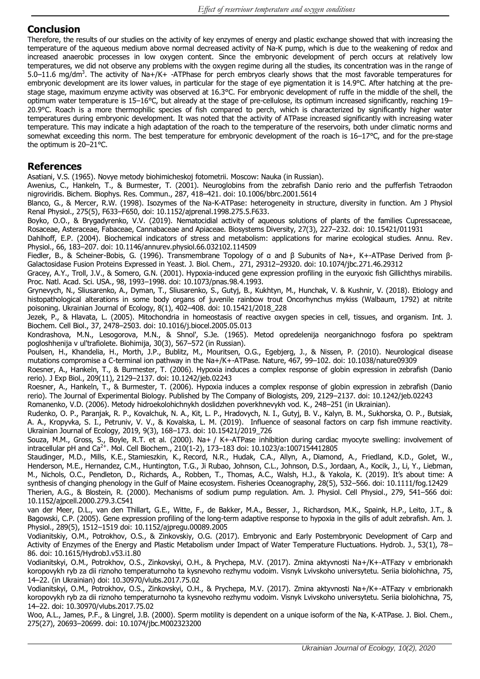# **Conclusion**

Therefore, the results of our studies on the activity of key enzymes of energy and plastic exchange showed that with increasing the temperature of the aqueous medium above normal decreased activity of Na-K pump, which is due to the weakening of redox and increased anaerobic processes in low oxygen content. Since the embryonic development of perch occurs at relatively low temperatures, we did not observe any problems with the oxygen regime during all the studies, its concentration was in the range of 5.0–11.6 mg/dm<sup>3</sup>. The activity of Na+/K+ -ATPhase for perch embryos clearly shows that the most favorable temperatures for embryonic development are its lower values, in particular for the stage of eye pigmentation it is 14.9°C. After hatching at the prestage stage, maximum enzyme activity was observed at 16.3°C. For embryonic development of ruffe in the middle of the shell, the optimum water temperature is 15–16°C, but already at the stage of pre-cellulose, its optimum increased significantly, reaching 19– 20.9°C. Roach is a more thermophilic species of fish compared to perch, which is characterized by significantly higher water temperatures during embryonic development. It was noted that the activity of ATPase increased significantly with increasing water temperature. This may indicate a high adaptation of the roach to the temperature of the reservoirs, both under climatic norms and somewhat exceeding this norm. The best temperature for embryonic development of the roach is 16–17°C, and for the pre-stage the optimum is 20–21°C.

## **References**

Asatiani, V.S. (1965). Novye metody biohimicheskoj fotometrii. Moscow: Nauka (in Russian).

Awenius, C., Hankeln, T., & Burmester, T. (2001). Neuroglobins from the zebrafish Danio rerio and the pufferfish Tetraodon nigroviridis. Bichem. Biophys. Res. Commun., 287, 418–421. doi: 10.1006/bbrc.2001.5614

Blanco, G., & Mercer, R.W. (1998). Isozymes of the Na-K-ATPase: heterogeneity in structure, diversity in function. Am J Physiol Renal Physiol., 275(5), F633–F650, doi: 10.1152/ajprenal.1998.275.5.F633.

Boyko, O.O., & Brygadyrenko, V.V. (2019). Nematocidial activity of aqueous solutions of plants of the families Cupressaceae, Rosaceae, Asteraceae, Fabaceae, Cannabaceae and Apiaceae. Biosystems Diversity, 27(3), 227–232. doi: 10.15421/011931

Dahlhoff, E.P. (2004). Biochemical indicators of stress and metabolism: applications for marine ecological studies. Annu. Rev. Physiol., 66, 183–207. doi: 10.1146/annurev.physiol.66.032102.114509

Fiedler, B., & Scheiner-Bobis, G. (1996). Transmembrane Topology of α and β Subunits of Na+, K+-ATPase Derived from β-Galactosidase Fusion Proteins Expressed in Yeast. J. Biol. Chem., 271, 29312–29320. doi: 10.1074/jbc.271.46.29312

Gracey, A.Y., Troll, J.V., & Somero, G.N. (2001). Hypoxia-induced gene expression profiling in the euryoxic fish Gillichthys mirabilis. Proc. Natl. Acad. Sci. USA., 98, 1993–1998. doi: 10.1073/pnas.98.4.1993.

Grynevych, N., Sliusarenko, A., Dyman, T., Sliusarenko, S., Gutyj, B., Kukhtyn, M., Hunchak, V. & Kushnir, V. (2018). Etiology and histopathological alterations in some body organs of juvenile rainbow trout Oncorhynchus mykiss (Walbaum, 1792) at nitrite poisoning. Ukrainian Journal of Ecology, 8(1), 402–408. doi: 10.15421/2018\_228

Jezek, P., & Hlavata, L. (2005). Mitochondria in homeostasis of reactive oxygen species in cell, tissues, and organism. Int. J. Biochem. Cell Biol., 37, 2478–2503. doi: 10.1016/j.biocel.2005.05.013

Kondrashova, M.N., Lesogorova, M.N., & Shnol', S.Je. (1965). Metod opredelenija neorganіchnogo fosfora po spektram pogloshhenija v ul'trafiolete. Biohimija, 30(3), 567–572 (in Russian).

Poulsen, H., Khandelia, H., Morth, J.P., Bublitz, M., Mouritsen, O.G., Egebjerg, J., & Nissen, P. (2010). Neurological disease mutations compromise a C-terminal ion pathway in the Na+/K+-ATPase. Nature, 467, 99–102. doi: 10.1038/nature09309

Roesner, A., Hankeln, T., & Burmester, T. (2006). Hypoxia induces a complex response of globin expression in zebrafish (Danio rerio). J Exp Biol., 209(11), 2129–2137. doi: 10.1242/jeb.02243

Roesner, A., Hankeln, T., & Burmester, T. (2006). Hypoxia induces a complex response of globin expression in zebrafish (Danio rerio). The Journal of Experimental Biology. Published by The Company of Biologists, 209, 2129–2137. doi: 10.1242/jeb.02243

Romanenko, V.D. (2006). Metody hidroekolohichnykh doslidzhen poverkhnevykh vod. K., 248–251 (in Ukrainian).

Rudenko, O. P., Paranjak, R. P., Kovalchuk, N. A., Kit, L. P., Hradovych, N. I., Gutyj, B. V., Kalyn, B. M., Sukhorska, O. P., Butsiak, A. A., Kropyvka, S. I., Petruniv, V. V., & Kovalska, L. M. (2019). Influence of seasonal factors on carp fish immune reactivity. Ukrainian Journal of Ecology, 2019, 9(3), 168–173. doi: 10.15421/2019\_726

Souza, M.M., Gross, S., Boyle, R.T. et al. (2000). Na+ / K+-ATPase inhibition during cardiac myocyte swelling: involvement of intracellular pH and Ca<sup>2+</sup>. Mol. Cell Biochem., 210(1-2), 173–183 doi: 10.1023/a:1007154412805

Staudinger, M.D., Mills, K.E., Stamieszkin, K., Record, N.R., Hudak, C.A., Allyn, A., Diamond, A., Friedland, K.D., Golet, W., Henderson, M.E., Hernandez, C.M., Huntington, T.G., Ji Rubao, Johnson, C.L., Johnson, D.S., Jordaan, A., Kocik, J., Li, Y., Liebman, M., Nichols, O.C., Pendleton, D., Richards, A., Robben, T., Thomas, A.C., Walsh, H.J., & Yakola, K. (2019). It's about time: A synthesis of changing phenology in the Gulf of Maine ecosystem. Fisheries Oceanography, 28(5), 532–566. doi: 10.1111/fog.12429 Therien, A.G., & Blostein, R. (2000). Mechanisms of sodium pump regulation. Am. J. Physiol. Cell Physiol., 279, 541–566 doi: 10.1152/ajpcell.2000.279.3.C541

van der Meer, D.L., van den Thillart, G.E., Witte, F., de Bakker, M.A., Besser, J., Richardson, M.K., Spaink, H.P., Leito, J.T., & Bagowski, C.P. (2005). Gene expression profiling of the long-term adaptive response to hypoxia in the gills of adult zebrafish. Am. J. Physiol., 289(5), 1512–1519 doi: 10.1152/ajpregu.00089.2005

Vodianitskiy, O.M., Potrokhov, O.S., & Zinkovskiy, O.G. (2017). Embryonic and Early Postembryonic Development of Carp and Activity of Enzymes of the Energy and Plastic Metabolism under Impact of Water Temperature Fluctuations. Hydrob. J., 53(1), 78– 86. doi: 10.1615/HydrobJ.v53.i1.80

Vodianitskyi, O.M., Potrokhov, O.S., Zinkovskyi, O.H., & Prychepa, M.V. (2017). Zmina aktyvnosti Na+/K+-ATFazy v embrionakh koropovykh ryb za dii riznoho temperaturnoho ta kysnevoho rezhymu vodoim. Visnyk Lvivskoho universytetu. Seriia biolohichna, 75, 14–22. (in Ukrainian) doi: 10.30970/vlubs.2017.75.02

Vodianitskyi, O.M., Potrokhov, O.S., Zinkovskyi, O.H., & Prychepa, M.V. (2017). Zmina aktyvnosti Na+/K+-ATFazy v embrionakh koropovykh ryb za dii riznoho temperaturnoho ta kysnevoho rezhymu vodoim. Visnyk Lvivskoho universytetu. Seriia biolohichna, 75, 14–22. doi: 10.30970/vlubs.2017.75.02

Woo, A.L., James, P.F., & Lingrel, J.B. (2000). Sperm motility is dependent on a unique isoform of the Na, K-ATPase. J. Biol. Chem., 275(27), 20693–20699. doi: 10.1074/jbc.M002323200